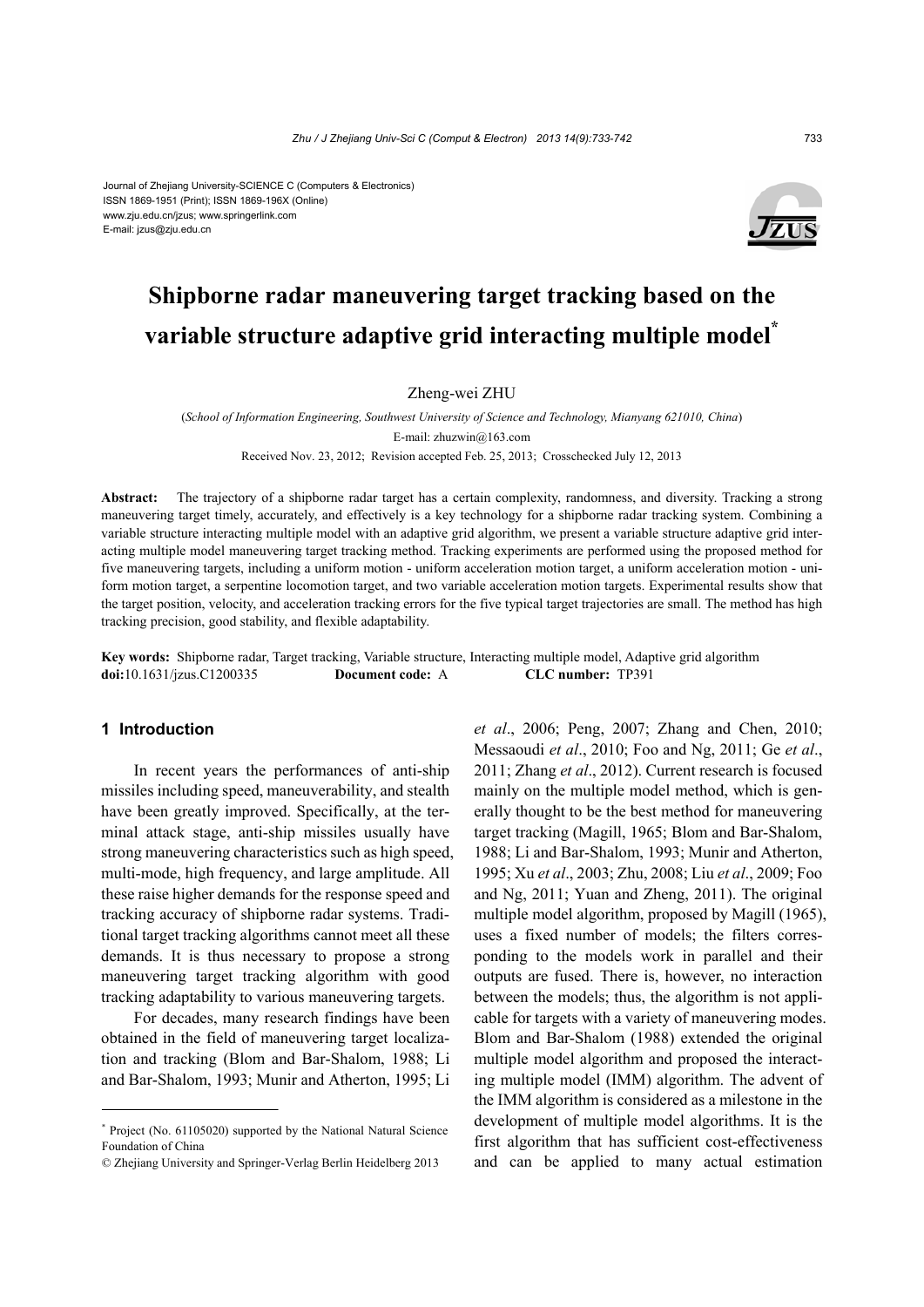#### Journal of Zhejiang University-SCIENCE C (Computers & Electronics) ISSN 1869-1951 (Print); ISSN 1869-196X (Online) www.zju.edu.cn/jzus; www.springerlink.com E-mail: jzus@zju.edu.cn



# **Shipborne radar maneuvering target tracking based on the variable structure adaptive grid interacting multiple model\***

# Zheng-wei ZHU

(*School of Information Engineering, Southwest University of Science and Technology, Mianyang 621010, China*) E-mail: zhuzwin@163.com Received Nov. 23, 2012; Revision accepted Feb. 25, 2013; Crosschecked July 12, 2013

**Abstract:** The trajectory of a shipborne radar target has a certain complexity, randomness, and diversity. Tracking a strong maneuvering target timely, accurately, and effectively is a key technology for a shipborne radar tracking system. Combining a variable structure interacting multiple model with an adaptive grid algorithm, we present a variable structure adaptive grid interacting multiple model maneuvering target tracking method. Tracking experiments are performed using the proposed method for five maneuvering targets, including a uniform motion - uniform acceleration motion target, a uniform acceleration motion - uniform motion target, a serpentine locomotion target, and two variable acceleration motion targets. Experimental results show that the target position, velocity, and acceleration tracking errors for the five typical target trajectories are small. The method has high tracking precision, good stability, and flexible adaptability.

**Key words:** Shipborne radar, Target tracking, Variable structure, Interacting multiple model, Adaptive grid algorithm **doi:**10.1631/jzus.C1200335 **Document code:** A **CLC number:** TP391

# **1 Introduction**

In recent years the performances of anti-ship missiles including speed, maneuverability, and stealth have been greatly improved. Specifically, at the terminal attack stage, anti-ship missiles usually have strong maneuvering characteristics such as high speed, multi-mode, high frequency, and large amplitude. All these raise higher demands for the response speed and tracking accuracy of shipborne radar systems. Traditional target tracking algorithms cannot meet all these demands. It is thus necessary to propose a strong maneuvering target tracking algorithm with good tracking adaptability to various maneuvering targets.

For decades, many research findings have been obtained in the field of maneuvering target localization and tracking (Blom and Bar-Shalom, 1988; Li and Bar-Shalom, 1993; Munir and Atherton, 1995; Li

*et al*., 2006; Peng, 2007; Zhang and Chen, 2010; Messaoudi *et al*., 2010; Foo and Ng, 2011; Ge *et al*., 2011; Zhang *et al*., 2012). Current research is focused mainly on the multiple model method, which is generally thought to be the best method for maneuvering target tracking (Magill, 1965; Blom and Bar-Shalom, 1988; Li and Bar-Shalom, 1993; Munir and Atherton, 1995; Xu *et al*., 2003; Zhu, 2008; Liu *et al*., 2009; Foo and Ng, 2011; Yuan and Zheng, 2011). The original multiple model algorithm, proposed by Magill (1965), uses a fixed number of models; the filters corresponding to the models work in parallel and their outputs are fused. There is, however, no interaction between the models; thus, the algorithm is not applicable for targets with a variety of maneuvering modes. Blom and Bar-Shalom (1988) extended the original multiple model algorithm and proposed the interacting multiple model (IMM) algorithm. The advent of the IMM algorithm is considered as a milestone in the development of multiple model algorithms. It is the first algorithm that has sufficient cost-effectiveness and can be applied to many actual estimation

<sup>\*</sup> Project (No. 61105020) supported by the National Natural Science Foundation of China

<sup>©</sup> Zhejiang University and Springer-Verlag Berlin Heidelberg 2013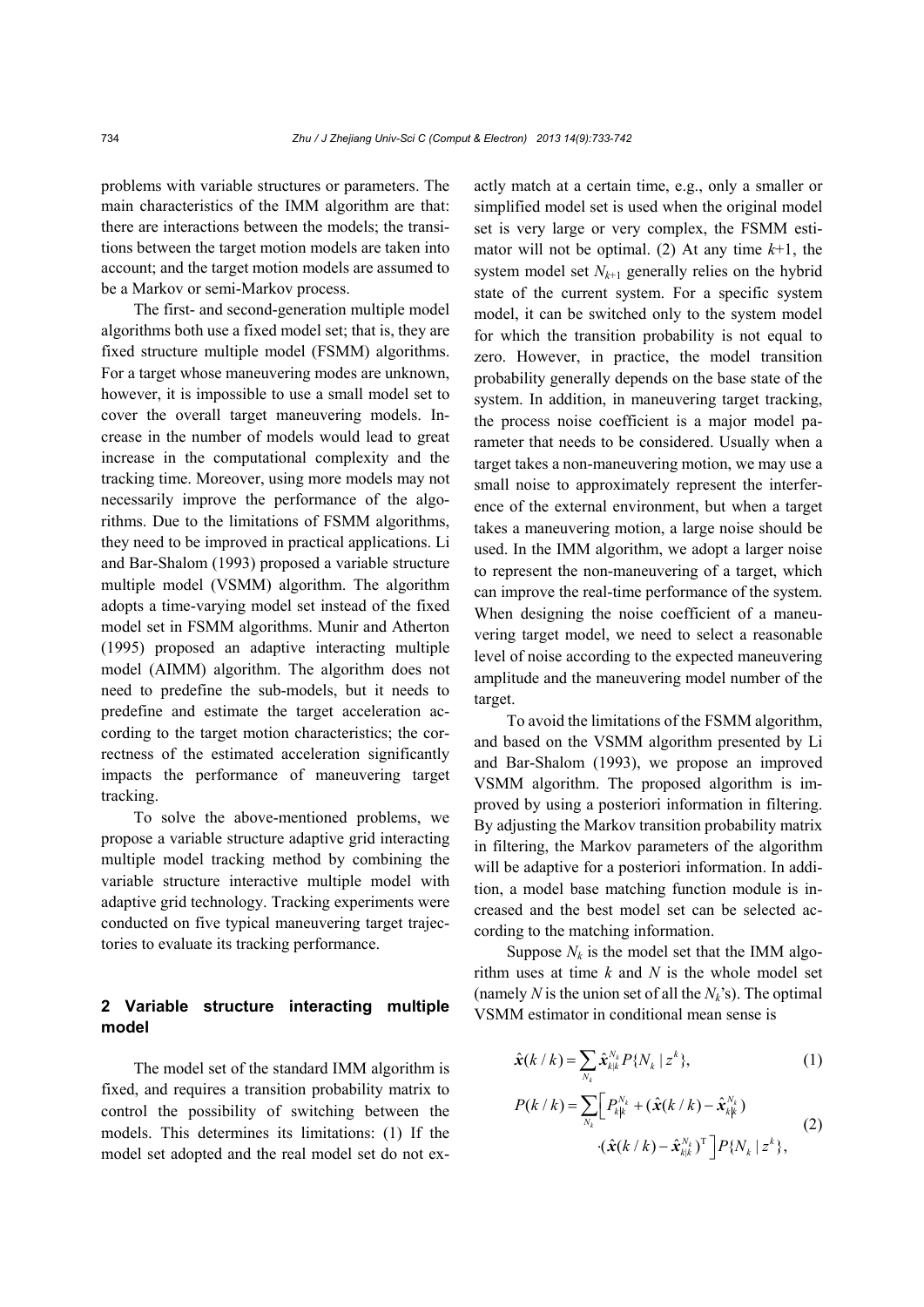problems with variable structures or parameters. The main characteristics of the IMM algorithm are that: there are interactions between the models; the transitions between the target motion models are taken into account; and the target motion models are assumed to be a Markov or semi-Markov process.

The first- and second-generation multiple model algorithms both use a fixed model set; that is, they are fixed structure multiple model (FSMM) algorithms. For a target whose maneuvering modes are unknown, however, it is impossible to use a small model set to cover the overall target maneuvering models. Increase in the number of models would lead to great increase in the computational complexity and the tracking time. Moreover, using more models may not necessarily improve the performance of the algorithms. Due to the limitations of FSMM algorithms, they need to be improved in practical applications. Li and Bar-Shalom (1993) proposed a variable structure multiple model (VSMM) algorithm. The algorithm adopts a time-varying model set instead of the fixed model set in FSMM algorithms. Munir and Atherton (1995) proposed an adaptive interacting multiple model (AIMM) algorithm. The algorithm does not need to predefine the sub-models, but it needs to predefine and estimate the target acceleration according to the target motion characteristics; the correctness of the estimated acceleration significantly impacts the performance of maneuvering target tracking.

To solve the above-mentioned problems, we propose a variable structure adaptive grid interacting multiple model tracking method by combining the variable structure interactive multiple model with adaptive grid technology. Tracking experiments were conducted on five typical maneuvering target trajectories to evaluate its tracking performance.

# **2 Variable structure interacting multiple model**

The model set of the standard IMM algorithm is fixed, and requires a transition probability matrix to control the possibility of switching between the models. This determines its limitations: (1) If the model set adopted and the real model set do not exactly match at a certain time, e.g., only a smaller or simplified model set is used when the original model set is very large or very complex, the FSMM estimator will not be optimal. (2) At any time  $k+1$ , the system model set  $N_{k+1}$  generally relies on the hybrid state of the current system. For a specific system model, it can be switched only to the system model for which the transition probability is not equal to zero. However, in practice, the model transition probability generally depends on the base state of the system. In addition, in maneuvering target tracking, the process noise coefficient is a major model parameter that needs to be considered. Usually when a target takes a non-maneuvering motion, we may use a small noise to approximately represent the interference of the external environment, but when a target takes a maneuvering motion, a large noise should be used. In the IMM algorithm, we adopt a larger noise to represent the non-maneuvering of a target, which can improve the real-time performance of the system. When designing the noise coefficient of a maneuvering target model, we need to select a reasonable level of noise according to the expected maneuvering amplitude and the maneuvering model number of the target.

To avoid the limitations of the FSMM algorithm, and based on the VSMM algorithm presented by Li and Bar-Shalom (1993), we propose an improved VSMM algorithm. The proposed algorithm is improved by using a posteriori information in filtering. By adjusting the Markov transition probability matrix in filtering, the Markov parameters of the algorithm will be adaptive for a posteriori information. In addition, a model base matching function module is increased and the best model set can be selected according to the matching information.

Suppose  $N_k$  is the model set that the IMM algorithm uses at time *k* and *N* is the whole model set (namely *N* is the union set of all the  $N_k$ 's). The optimal VSMM estimator in conditional mean sense is

$$
\hat{\boldsymbol{x}}(k \mid k) = \sum_{N_k} \hat{\boldsymbol{x}}_{k|k}^{N_k} P\{N_k \mid z^k\},\tag{1}
$$

$$
P(k / k) = \sum_{N_k} \left[ P_{k|k}^{N_k} + (\hat{\boldsymbol{x}}(k / k) - \hat{\boldsymbol{x}}_{k|k}^{N_k}) - (\hat{\boldsymbol{x}}(k / k) - \hat{\boldsymbol{x}}_{k|k}^{N_k})^{\mathrm{T}} \right] P\{N_k | z^k\},\tag{2}
$$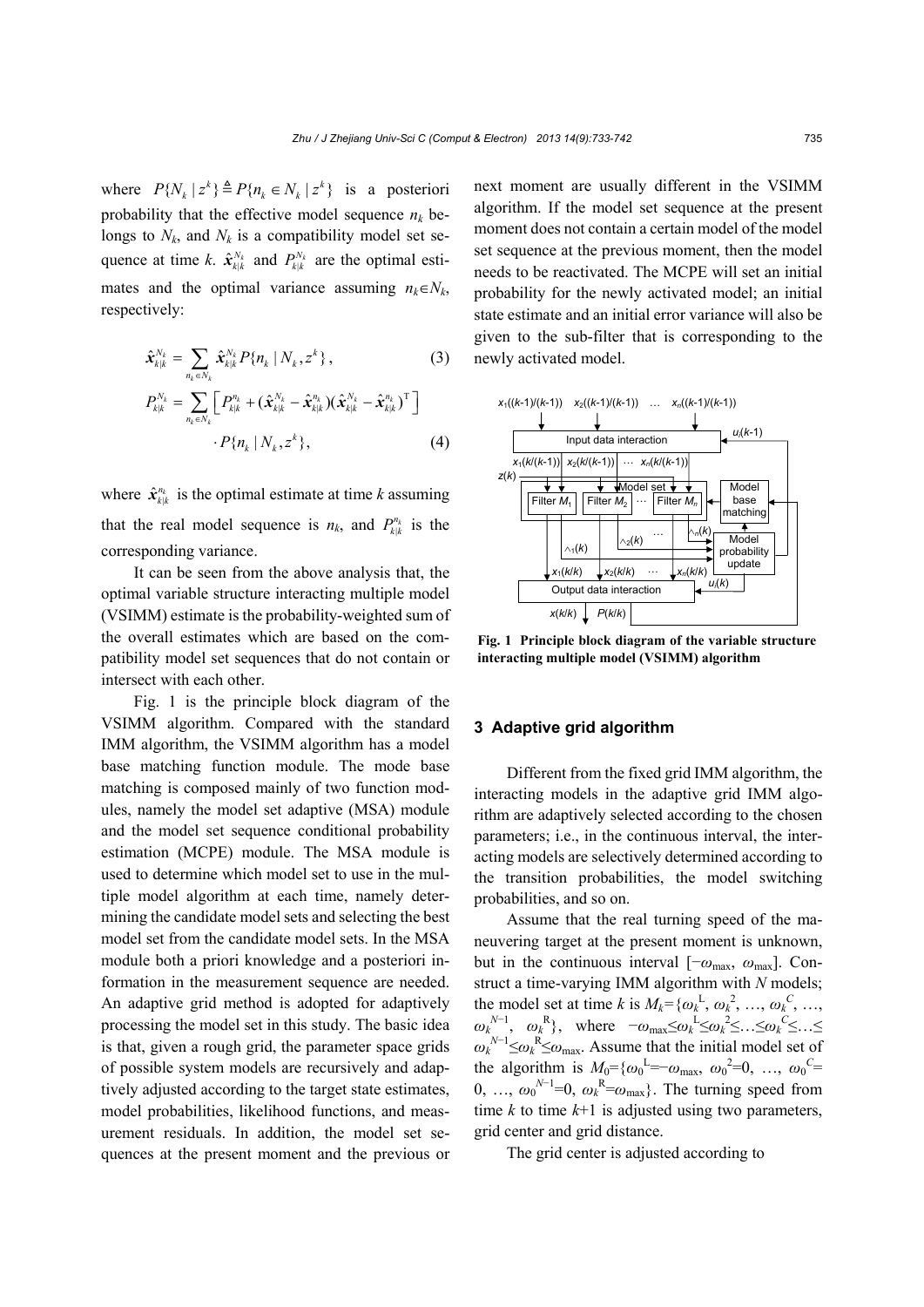where  $P\{N_k | z^k\} \triangleq P\{n_k \in N_k | z^k\}$  is a posteriori probability that the effective model sequence  $n_k$  belongs to  $N_k$ , and  $N_k$  is a compatibility model set sequence at time *k*.  $\hat{\mathbf{x}}_{k|k}^{N_k}$  and  $P_{k|k}^{N_k}$  are the optimal estimates and the optimal variance assuming  $n_k \in N_k$ , respectively:

$$
\hat{\mathbf{x}}_{k|k}^{N_k} = \sum_{n_k \in N_k} \hat{\mathbf{x}}_{k|k}^{N_k} P\{n_k \mid N_k, z^k\},\tag{3}
$$

$$
P_{k|k}^{N_k} = \sum_{n_k \in N_k} \left[ P_{k|k}^{n_k} + (\hat{\mathbf{x}}_{k|k}^{N_k} - \hat{\mathbf{x}}_{k|k}^{n_k}) (\hat{\mathbf{x}}_{k|k}^{N_k} - \hat{\mathbf{x}}_{k|k}^{n_k})^{\mathrm{T}} \right] \cdot P\{n_k \mid N_k, z^k\},
$$
(4)

where  $\hat{\mathbf{x}}_{k|k}^{n_k}$  is the optimal estimate at time *k* assuming that the real model sequence is  $n_k$ , and  $P_{k|k}^{n_k}$  is the corresponding variance.

It can be seen from the above analysis that, the optimal variable structure interacting multiple model (VSIMM) estimate is the probability-weighted sum of the overall estimates which are based on the compatibility model set sequences that do not contain or intersect with each other.

Fig. 1 is the principle block diagram of the VSIMM algorithm. Compared with the standard IMM algorithm, the VSIMM algorithm has a model base matching function module. The mode base matching is composed mainly of two function modules, namely the model set adaptive (MSA) module and the model set sequence conditional probability estimation (MCPE) module. The MSA module is used to determine which model set to use in the multiple model algorithm at each time, namely determining the candidate model sets and selecting the best model set from the candidate model sets. In the MSA module both a priori knowledge and a posteriori information in the measurement sequence are needed. An adaptive grid method is adopted for adaptively processing the model set in this study. The basic idea is that, given a rough grid, the parameter space grids of possible system models are recursively and adaptively adjusted according to the target state estimates, model probabilities, likelihood functions, and measurement residuals. In addition, the model set sequences at the present moment and the previous or

next moment are usually different in the VSIMM algorithm. If the model set sequence at the present moment does not contain a certain model of the model set sequence at the previous moment, then the model needs to be reactivated. The MCPE will set an initial probability for the newly activated model; an initial state estimate and an initial error variance will also be given to the sub-filter that is corresponding to the newly activated model.



**Fig. 1 Principle block diagram of the variable structure interacting multiple model (VSIMM) algorithm** 

# **3 Adaptive grid algorithm**

Different from the fixed grid IMM algorithm, the interacting models in the adaptive grid IMM algorithm are adaptively selected according to the chosen parameters; i.e., in the continuous interval, the interacting models are selectively determined according to the transition probabilities, the model switching probabilities, and so on.

Assume that the real turning speed of the maneuvering target at the present moment is unknown, but in the continuous interval  $[-\omega_{\text{max}}, \omega_{\text{max}}]$ . Construct a time-varying IMM algorithm with *N* models; the model set at time *k* is  $M_k = \{\omega_k^L, \omega_k^2, ..., \omega_k^C, ...,$  $\omega_k^{N-1}$ ,  $\omega_k^{R}$ , where  $-\omega_{\text{max}} \leq \omega_k^{L} \leq \omega_k^{2} \leq ... \leq \omega_k^{C} \leq ... \leq$  $\omega_k^{N-1} \leq \omega_k^R \leq \omega_{\text{max}}$ . Assume that the initial model set of the algorithm is  $M_0 = {\omega_0}^L = -\omega_{\text{max}}$ ,  ${\omega_0}^2 = 0$ , ...,  ${\omega_0}^C =$ 0, ...,  $\omega_0^{N-1}=0$ ,  $\omega_k^{R}=\omega_{\text{max}}$ . The turning speed from time  $k$  to time  $k+1$  is adjusted using two parameters, grid center and grid distance.

The grid center is adjusted according to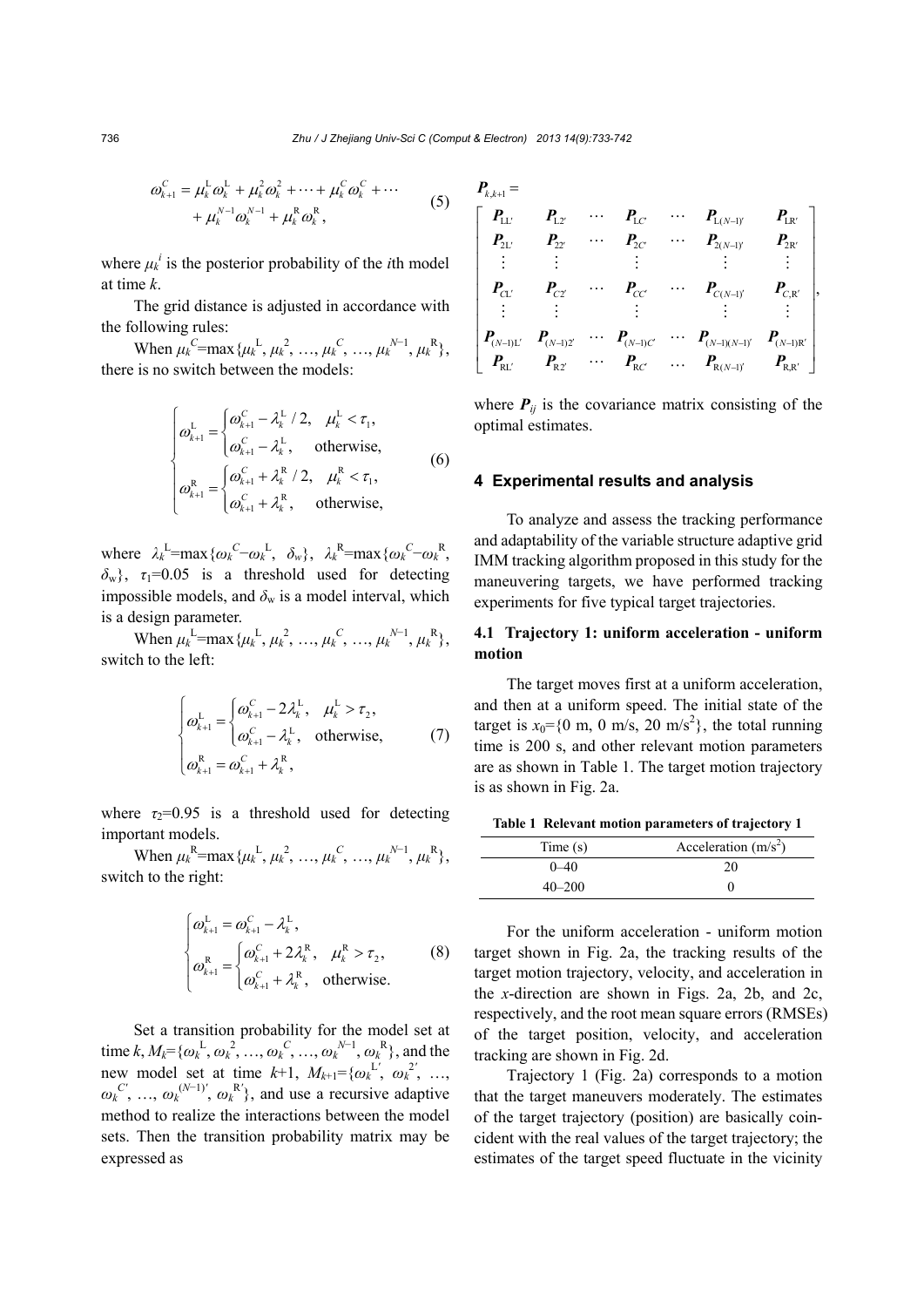$$
\omega_{k+1}^{C} = \mu_{k}^{L} \omega_{k}^{L} + \mu_{k}^{2} \omega_{k}^{2} + \dots + \mu_{k}^{C} \omega_{k}^{C} + \dots + \mu_{k}^{N-1} \omega_{k}^{N-1} + \mu_{k}^{R} \omega_{k}^{R},
$$
(5)

where  $\mu_k^i$  is the posterior probability of the *i*th model at time *k*.

The grid distance is adjusted in accordance with the following rules:

When  $\mu_k^C = \max{\{\mu_k^L, \mu_k^2, ..., \mu_k^C, ..., \mu_k^{N-1}, \mu_k^R\}},$ there is no switch between the models:

$$
\begin{cases}\n\omega_{k+1}^{\mathrm{L}} = \begin{cases}\n\omega_{k+1}^{\mathrm{C}} - \lambda_{k}^{\mathrm{L}} / 2, & \mu_{k}^{\mathrm{L}} < \tau_{1}, \\
\omega_{k+1}^{\mathrm{C}} - \lambda_{k}^{\mathrm{L}}, & \text{otherwise},\n\end{cases} \\
\omega_{k+1}^{\mathrm{R}} = \begin{cases}\n\omega_{k+1}^{\mathrm{R}} + \lambda_{k}^{\mathrm{R}} / 2, & \mu_{k}^{\mathrm{R}} < \tau_{1}, \\
\omega_{k+1}^{\mathrm{C}} + \lambda_{k}^{\mathrm{R}}, & \text{otherwise},\n\end{cases}\n\end{cases}
$$
\n(6)

where  $\lambda_k^L = \max{\{\omega_k^C - \omega_k^L, \ \delta_w\}}, \ \lambda_k^R = \max{\{\omega_k^C - \omega_k^R, \ \delta_w\}}$  $\delta_{\rm w}$ ,  $\tau_1$ =0.05 is a threshold used for detecting impossible models, and  $\delta_w$  is a model interval, which is a design parameter.

When  $\mu_k^L = \max{\{\mu_k^L, \mu_k^2, ..., \mu_k^C, ..., \mu_k^{N-1}, \mu_k^R\}},$ switch to the left:

$$
\begin{cases}\n\omega_{k+1}^{\mathrm{L}} = \begin{cases}\n\omega_{k+1}^{\mathrm{C}} - 2\lambda_{k}^{\mathrm{L}}, & \mu_{k}^{\mathrm{L}} > \tau_{2}, \\
\omega_{k+1}^{\mathrm{C}} - \lambda_{k}^{\mathrm{L}}, & \text{otherwise},\n\end{cases} \\
\omega_{k+1}^{\mathrm{R}} = \omega_{k+1}^{\mathrm{C}} + \lambda_{k}^{\mathrm{R}},\n\end{cases} (7)
$$

where  $\tau_2$ =0.95 is a threshold used for detecting important models.

When  $\mu_k^R = \max{\{\mu_k^L, \mu_k^2, ..., \mu_k^C, ..., \mu_k^{N-1}, \mu_k^R\}},$ switch to the right:

$$
\begin{cases}\n\omega_{k+1}^{\text{L}} = \omega_{k+1}^{\text{C}} - \lambda_k^{\text{L}}, \\
\omega_{k+1}^{\text{R}} = \begin{cases}\n\omega_{k+1}^{\text{C}} + 2\lambda_k^{\text{R}}, & \mu_k^{\text{R}} > \tau_2, \\
\omega_{k+1}^{\text{C}} + \lambda_k^{\text{R}}, & \text{otherwise.} \n\end{cases} \n\end{cases} \n(8)
$$

Set a transition probability for the model set at time  $k, M_k = {\omega_k}^L, {\omega_k}^2, ..., {\omega_k}^C, ..., {\omega_k}^{N-1}, {\omega_k}^R$ , and the new model set at time  $k+1$ ,  $M_{k+1} = {\omega_k}^{L'}$ ,  $\omega_k^2$ , ...,  $\omega_k^{C'}$ , ...,  $\omega_k^{(N-1)'}$ ,  $\omega_k^{R'}$ }, and use a recursive adaptive method to realize the interactions between the model sets. Then the transition probability matrix may be expressed as

$$
\begin{bmatrix}\nP_{k,k+1} = \\
P_{1L'} & P_{12'} & \cdots & P_{1C'} & \cdots & P_{1(N-1)}' & P_{1R'} \\
P_{2L'} & P_{22'} & \cdots & P_{2C'} & \cdots & P_{2(N-1)}' & P_{2R'} \\
\vdots & \vdots & \vdots & \vdots & \vdots & \vdots \\
P_{C1'} & P_{C2'} & \cdots & P_{CC'} & \cdots & P_{C(N-1)}' & P_{C,R'} \\
\vdots & \vdots & \vdots & \vdots & \vdots & \vdots \\
P_{(N-1)L'} & P_{(N-1)2'} & \cdots & P_{(N-1)C'} & \cdots & P_{(N-1)(N-1)}' & P_{(N-1)R'} \\
P_{R1'} & P_{R2'} & \cdots & P_{RC'} & \cdots & P_{R(N-1)}' & P_{R,R'}\n\end{bmatrix}
$$

where  $P_{ij}$  is the covariance matrix consisting of the optimal estimates.

#### **4 Experimental results and analysis**

To analyze and assess the tracking performance and adaptability of the variable structure adaptive grid IMM tracking algorithm proposed in this study for the maneuvering targets, we have performed tracking experiments for five typical target trajectories.

# **4.1 Trajectory 1: uniform acceleration - uniform motion**

The target moves first at a uniform acceleration, and then at a uniform speed. The initial state of the target is  $x_0 = \{0 \text{ m}, 0 \text{ m/s}, 20 \text{ m/s}^2\}$ , the total running time is 200 s, and other relevant motion parameters are as shown in Table 1. The target motion trajectory is as shown in Fig. 2a.

**Table 1 Relevant motion parameters of trajectory 1**

| Time(s)    | Acceleration $(m/s2)$ |
|------------|-----------------------|
| $0 - 40$   | 20                    |
| $40 - 200$ |                       |

For the uniform acceleration - uniform motion target shown in Fig. 2a, the tracking results of the target motion trajectory, velocity, and acceleration in the *x*-direction are shown in Figs. 2a, 2b, and 2c, respectively, and the root mean square errors (RMSEs) of the target position, velocity, and acceleration tracking are shown in Fig. 2d.

Trajectory 1 (Fig. 2a) corresponds to a motion that the target maneuvers moderately. The estimates of the target trajectory (position) are basically coincident with the real values of the target trajectory; the estimates of the target speed fluctuate in the vicinity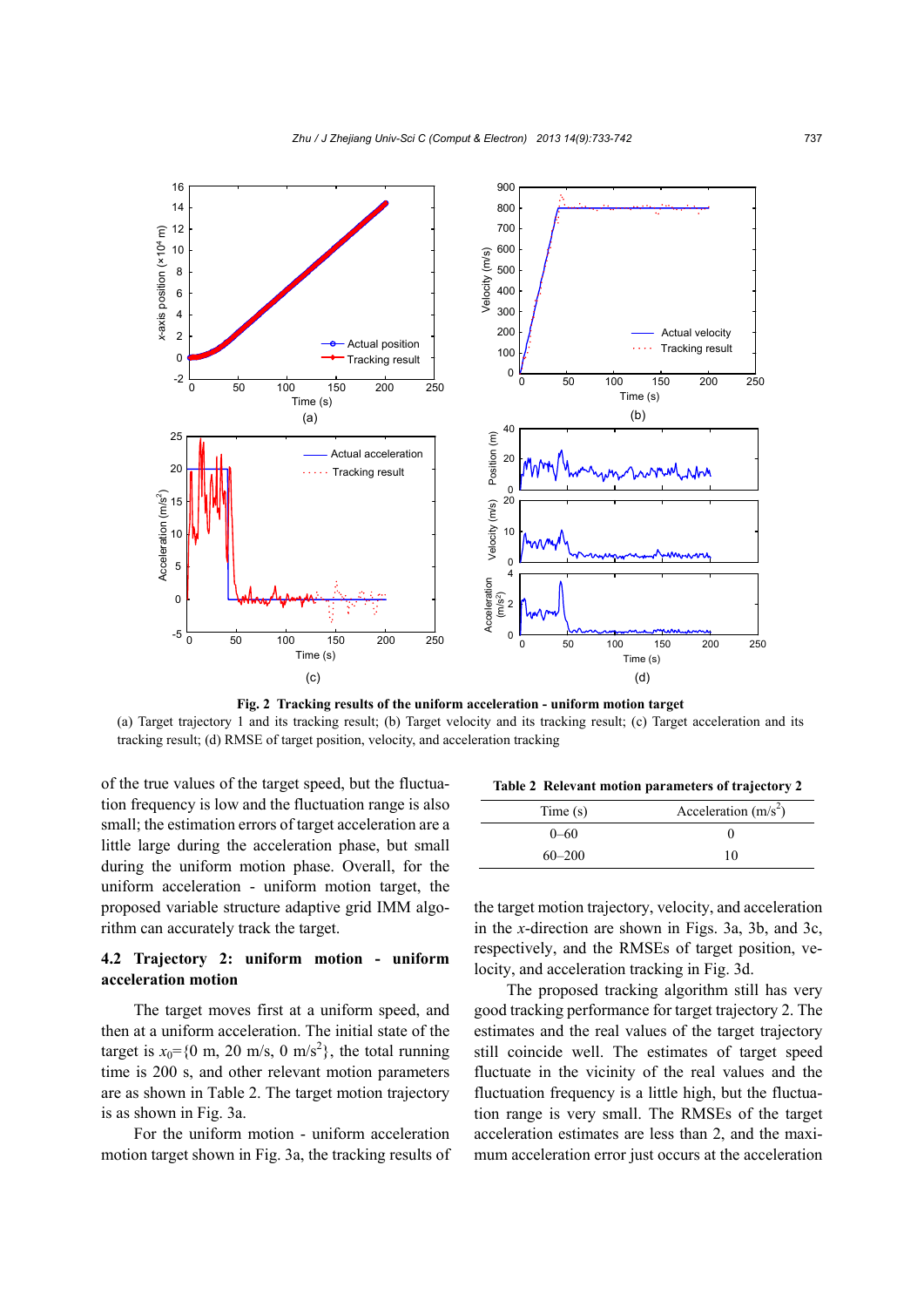

**Fig. 2 Tracking results of the uniform acceleration - uniform motion target**  (a) Target trajectory 1 and its tracking result; (b) Target velocity and its tracking result; (c) Target acceleration and its tracking result; (d) RMSE of target position, velocity, and acceleration tracking

of the true values of the target speed, but the fluctuation frequency is low and the fluctuation range is also small; the estimation errors of target acceleration are a little large during the acceleration phase, but small during the uniform motion phase. Overall, for the uniform acceleration - uniform motion target, the proposed variable structure adaptive grid IMM algorithm can accurately track the target.

# **4.2 Trajectory 2: uniform motion - uniform acceleration motion**

The target moves first at a uniform speed, and then at a uniform acceleration. The initial state of the target is  $x_0 = \{0 \text{ m}, 20 \text{ m/s}, 0 \text{ m/s}^2\}$ , the total running time is 200 s, and other relevant motion parameters are as shown in Table 2. The target motion trajectory is as shown in Fig. 3a.

For the uniform motion - uniform acceleration motion target shown in Fig. 3a, the tracking results of

**Table 2 Relevant motion parameters of trajectory 2**

| Time(s)    | Acceleration $(m/s2)$ |  |  |
|------------|-----------------------|--|--|
| $0 - 60$   |                       |  |  |
| $60 - 200$ | 10                    |  |  |

the target motion trajectory, velocity, and acceleration in the *x*-direction are shown in Figs. 3a, 3b, and 3c, respectively, and the RMSEs of target position, velocity, and acceleration tracking in Fig. 3d.

The proposed tracking algorithm still has very good tracking performance for target trajectory 2. The estimates and the real values of the target trajectory still coincide well. The estimates of target speed fluctuate in the vicinity of the real values and the fluctuation frequency is a little high, but the fluctuation range is very small. The RMSEs of the target acceleration estimates are less than 2, and the maximum acceleration error just occurs at the acceleration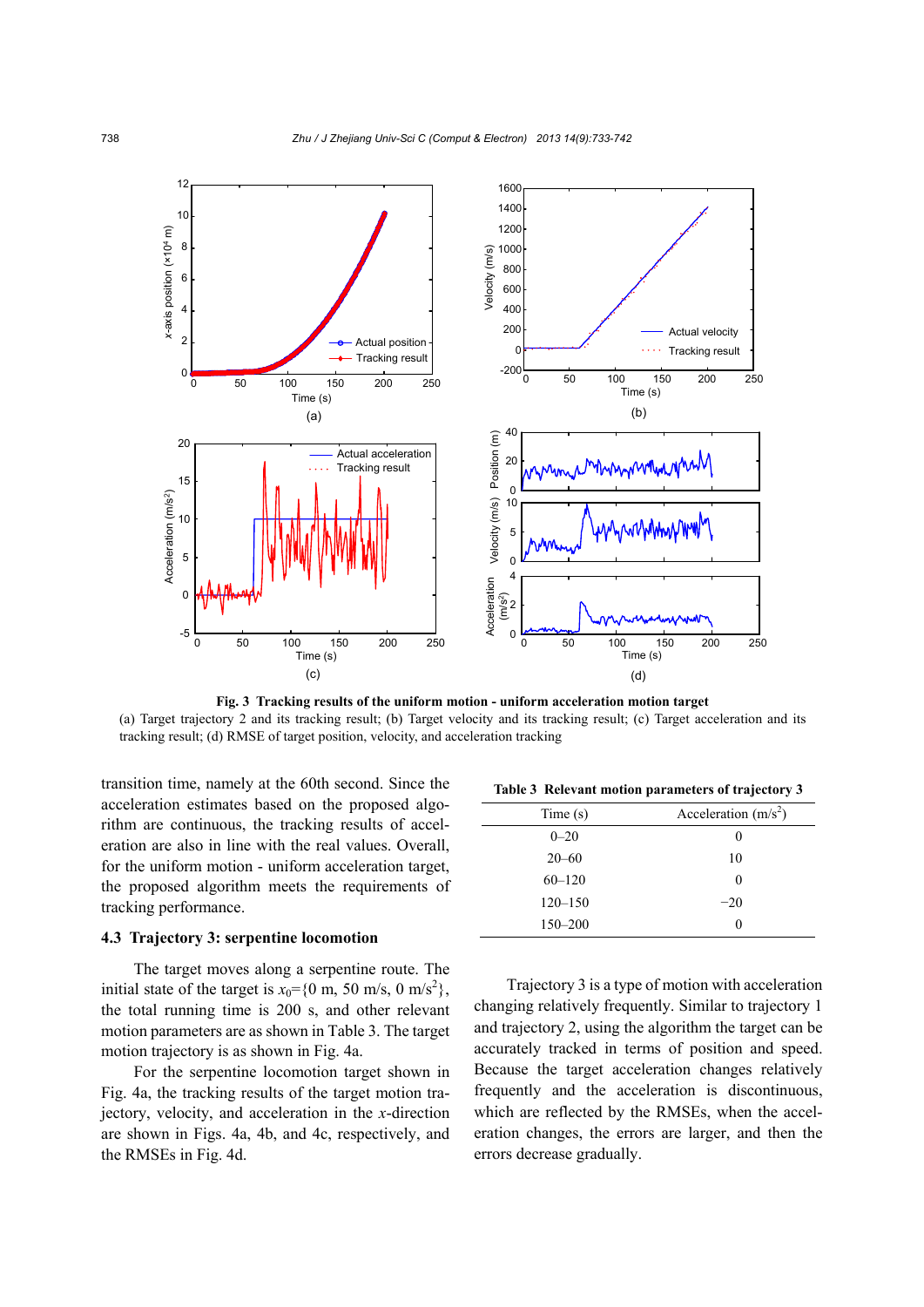

**Fig. 3 Tracking results of the uniform motion - uniform acceleration motion target**  (a) Target trajectory 2 and its tracking result; (b) Target velocity and its tracking result; (c) Target acceleration and its tracking result; (d) RMSE of target position, velocity, and acceleration tracking

transition time, namely at the 60th second. Since the acceleration estimates based on the proposed algorithm are continuous, the tracking results of acceleration are also in line with the real values. Overall, for the uniform motion - uniform acceleration target, the proposed algorithm meets the requirements of tracking performance.

#### **4.3 Trajectory 3: serpentine locomotion**

The target moves along a serpentine route. The initial state of the target is  $x_0 = \{0 \text{ m}, 50 \text{ m/s}, 0 \text{ m/s}^2\},$ the total running time is 200 s, and other relevant motion parameters are as shown in Table 3. The target motion trajectory is as shown in Fig. 4a.

For the serpentine locomotion target shown in Fig. 4a, the tracking results of the target motion trajectory, velocity, and acceleration in the *x*-direction are shown in Figs. 4a, 4b, and 4c, respectively, and the RMSEs in Fig. 4d.

**Table 3 Relevant motion parameters of trajectory 3** 

| Time(s)     | Acceleration $(m/s2)$ |
|-------------|-----------------------|
| $0 - 20$    |                       |
| $20 - 60$   | 10                    |
| $60 - 120$  | 0                     |
| $120 - 150$ | $-20$                 |
| $150 - 200$ |                       |

Trajectory 3 is a type of motion with acceleration changing relatively frequently. Similar to trajectory 1 and trajectory 2, using the algorithm the target can be accurately tracked in terms of position and speed. Because the target acceleration changes relatively frequently and the acceleration is discontinuous, which are reflected by the RMSEs, when the acceleration changes, the errors are larger, and then the errors decrease gradually.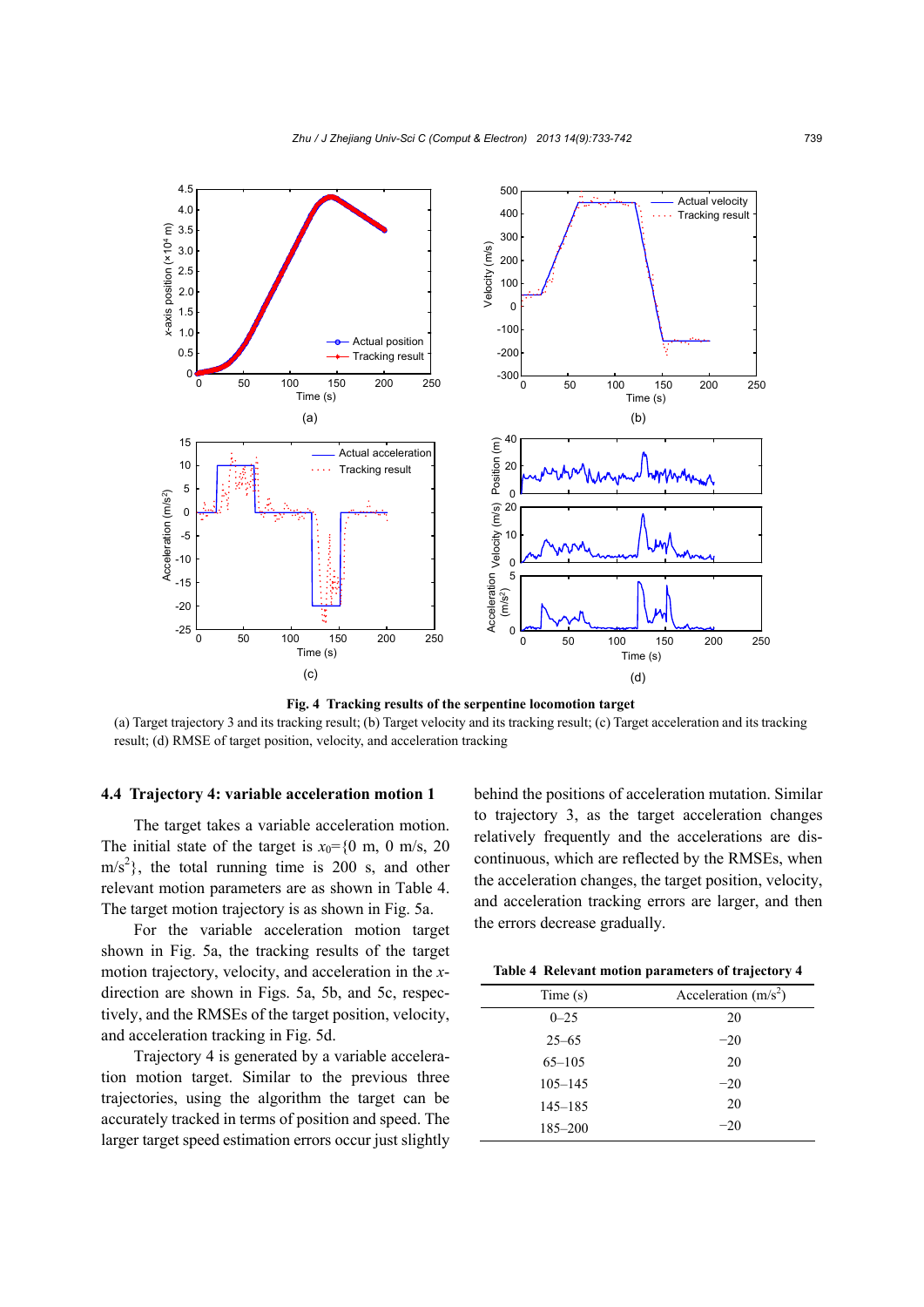

**Fig. 4 Tracking results of the serpentine locomotion target** 

(a) Target trajectory 3 and its tracking result; (b) Target velocity and its tracking result; (c) Target acceleration and its tracking result; (d) RMSE of target position, velocity, and acceleration tracking

#### **4.4 Trajectory 4: variable acceleration motion 1**

The target takes a variable acceleration motion. The initial state of the target is  $x_0 = \{0 \text{ m}, 0 \text{ m/s}, 20\}$  $\text{m/s}^2$ , the total running time is 200 s, and other relevant motion parameters are as shown in Table 4. The target motion trajectory is as shown in Fig. 5a.

For the variable acceleration motion target shown in Fig. 5a, the tracking results of the target motion trajectory, velocity, and acceleration in the *x*direction are shown in Figs. 5a, 5b, and 5c, respectively, and the RMSEs of the target position, velocity, and acceleration tracking in Fig. 5d.

Trajectory 4 is generated by a variable acceleration motion target. Similar to the previous three trajectories, using the algorithm the target can be accurately tracked in terms of position and speed. The larger target speed estimation errors occur just slightly

behind the positions of acceleration mutation. Similar to trajectory 3, as the target acceleration changes relatively frequently and the accelerations are discontinuous, which are reflected by the RMSEs, when the acceleration changes, the target position, velocity, and acceleration tracking errors are larger, and then the errors decrease gradually.

|  |  |  |  |  | Table 4 Relevant motion parameters of trajectory 4 |
|--|--|--|--|--|----------------------------------------------------|
|--|--|--|--|--|----------------------------------------------------|

| Time(s)     | Acceleration $(m/s2)$ |
|-------------|-----------------------|
| $0 - 25$    | 20                    |
| $25 - 65$   | $-20$                 |
| $65 - 105$  | 20                    |
| $105 - 145$ | $-20$                 |
| $145 - 185$ | 20                    |
| $185 - 200$ | $-20$                 |
|             |                       |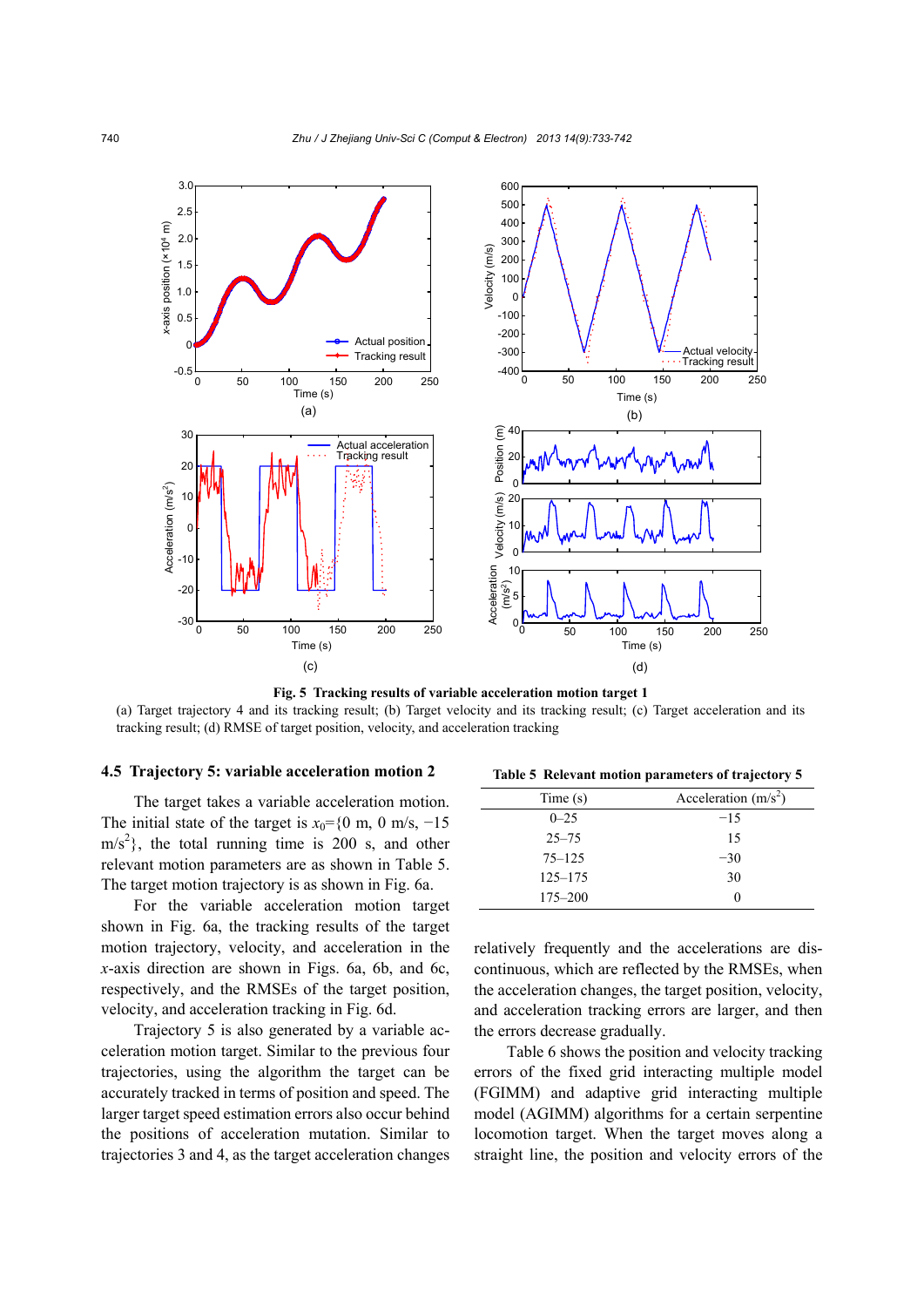

**Fig. 5 Tracking results of variable acceleration motion target 1**  (a) Target trajectory 4 and its tracking result; (b) Target velocity and its tracking result; (c) Target acceleration and its tracking result; (d) RMSE of target position, velocity, and acceleration tracking

#### **4.5 Trajectory 5: variable acceleration motion 2**

The target takes a variable acceleration motion. The initial state of the target is  $x_0$ ={0 m, 0 m/s, -15}  $\text{m/s}^2$ , the total running time is 200 s, and other relevant motion parameters are as shown in Table 5. The target motion trajectory is as shown in Fig. 6a.

For the variable acceleration motion target shown in Fig. 6a, the tracking results of the target motion trajectory, velocity, and acceleration in the *x*-axis direction are shown in Figs. 6a, 6b, and 6c, respectively, and the RMSEs of the target position, velocity, and acceleration tracking in Fig. 6d.

Trajectory 5 is also generated by a variable acceleration motion target. Similar to the previous four trajectories, using the algorithm the target can be accurately tracked in terms of position and speed. The larger target speed estimation errors also occur behind the positions of acceleration mutation. Similar to trajectories 3 and 4, as the target acceleration changes

**Table 5 Relevant motion parameters of trajectory 5**

| Time(s)     | Acceleration $(m/s2)$ |
|-------------|-----------------------|
| $0 - 25$    | $-15$                 |
| $25 - 75$   | 15                    |
| $75 - 125$  | $-30$                 |
| $125 - 175$ | 30                    |
| $175 - 200$ |                       |

relatively frequently and the accelerations are discontinuous, which are reflected by the RMSEs, when the acceleration changes, the target position, velocity, and acceleration tracking errors are larger, and then the errors decrease gradually.

Table 6 shows the position and velocity tracking errors of the fixed grid interacting multiple model (FGIMM) and adaptive grid interacting multiple model (AGIMM) algorithms for a certain serpentine locomotion target. When the target moves along a straight line, the position and velocity errors of the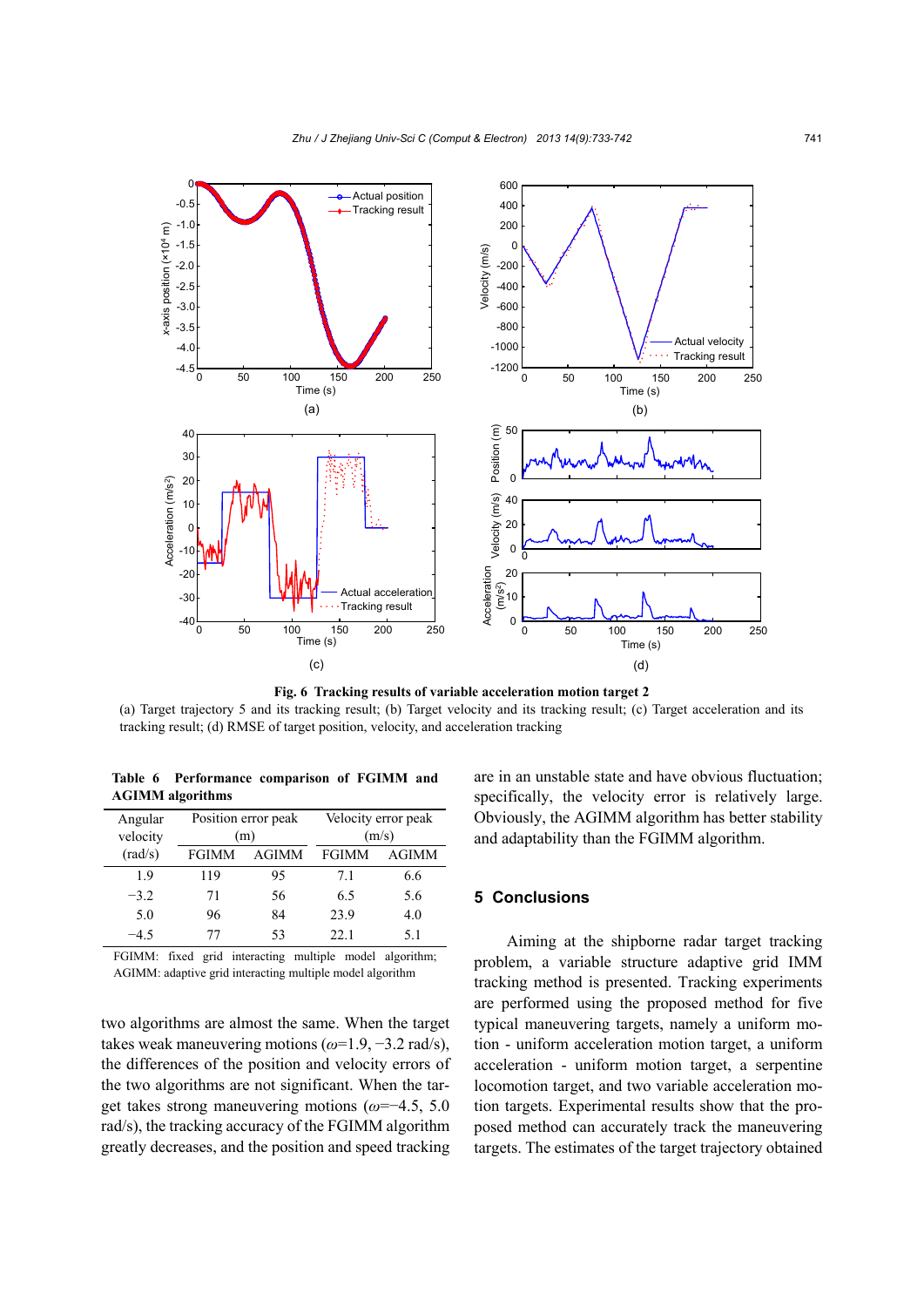

**Fig. 6 Tracking results of variable acceleration motion target 2**  (a) Target trajectory 5 and its tracking result; (b) Target velocity and its tracking result; (c) Target acceleration and its tracking result; (d) RMSE of target position, velocity, and acceleration tracking

**Table 6 Performance comparison of FGIMM and AGIMM algorithms** 

| Angular<br>velocity | Position error peak<br>(m) |              | Velocity error peak<br>(m/s) |              |
|---------------------|----------------------------|--------------|------------------------------|--------------|
| $\text{(rad/s)}$    | <b>FGIMM</b>               | <b>AGIMM</b> | <b>FGIMM</b>                 | <b>AGIMM</b> |
| 19                  | 119                        | 95           | 71                           | 6.6          |
| $-3.2$              | 71                         | 56           | 65                           | 5.6          |
| 5.0                 | 96                         | 84           | 23.9                         | 4.0          |
| -45                 | 77                         | 53           | 22.1                         | 5.1          |

FGIMM: fixed grid interacting multiple model algorithm; AGIMM: adaptive grid interacting multiple model algorithm

two algorithms are almost the same. When the target takes weak maneuvering motions (*ω*=1.9, −3.2 rad/s), the differences of the position and velocity errors of the two algorithms are not significant. When the target takes strong maneuvering motions (*ω*=−4.5, 5.0 rad/s), the tracking accuracy of the FGIMM algorithm greatly decreases, and the position and speed tracking are in an unstable state and have obvious fluctuation; specifically, the velocity error is relatively large. Obviously, the AGIMM algorithm has better stability and adaptability than the FGIMM algorithm.

# **5 Conclusions**

Aiming at the shipborne radar target tracking problem, a variable structure adaptive grid IMM tracking method is presented. Tracking experiments are performed using the proposed method for five typical maneuvering targets, namely a uniform motion - uniform acceleration motion target, a uniform acceleration - uniform motion target, a serpentine locomotion target, and two variable acceleration motion targets. Experimental results show that the proposed method can accurately track the maneuvering targets. The estimates of the target trajectory obtained